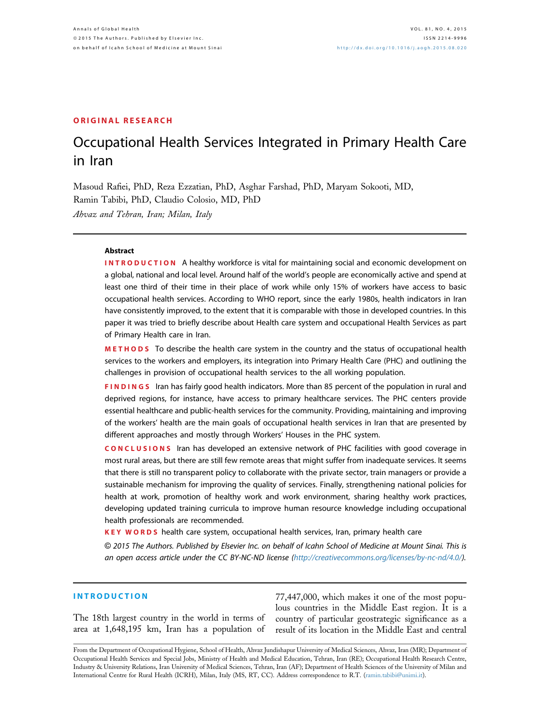#### ORIGINAL RESEARCH

# Occupational Health Services Integrated in Primary Health Care in Iran

Masoud Rafiei, PhD, Reza Ezzatian, PhD, Asghar Farshad, PhD, Maryam Sokooti, MD, Ramin Tabibi, PhD, Claudio Colosio, MD, PhD Ahvaz and Tehran, Iran; Milan, Italy

#### Abstract

**INTRODUCTION** A healthy workforce is vital for maintaining social and economic development on a global, national and local level. Around half of the world's people are economically active and spend at least one third of their time in their place of work while only 15% of workers have access to basic occupational health services. According to WHO report, since the early 1980s, health indicators in Iran have consistently improved, to the extent that it is comparable with those in developed countries. In this paper it was tried to briefly describe about Health care system and occupational Health Services as part of Primary Health care in Iran.

METHODS To describe the health care system in the country and the status of occupational health services to the workers and employers, its integration into Primary Health Care (PHC) and outlining the challenges in provision of occupational health services to the all working population.

FINDINGS Iran has fairly good health indicators. More than 85 percent of the population in rural and deprived regions, for instance, have access to primary healthcare services. The PHC centers provide essential healthcare and public-health services for the community. Providing, maintaining and improving of the workers' health are the main goals of occupational health services in Iran that are presented by different approaches and mostly through Workers' Houses in the PHC system.

CONCLUSIONS Iran has developed an extensive network of PHC facilities with good coverage in most rural areas, but there are still few remote areas that might suffer from inadequate services. It seems that there is still no transparent policy to collaborate with the private sector, train managers or provide a sustainable mechanism for improving the quality of services. Finally, strengthening national policies for health at work, promotion of healthy work and work environment, sharing healthy work practices, developing updated training curricula to improve human resource knowledge including occupational health professionals are recommended.

KEY WORDS health care system, occupational health services, Iran, primary health care

© 2015 The Authors. Published by Elsevier Inc. on behalf of Icahn School of Medicine at Mount Sinai. This is an open access article under the CC BY-NC-ND license [\(http://creativecommons.org/licenses/by-nc-nd/4.0/\)](http://creativecommons.org/licenses/by-nc-nd/4.�0/).

### INTRODUCTION

The 18th largest country in the world in terms of area at 1,648,195 km, Iran has a population of

77,447,000, which makes it one of the most populous countries in the Middle East region. It is a country of particular geostrategic significance as a result of its location in the Middle East and central

From the Department of Occupational Hygiene, School of Health, Ahvaz Jundishapur University of Medical Sciences, Ahvaz, Iran (MR); Department of Occupational Health Services and Special Jobs, Ministry of Health and Medical Education, Tehran, Iran (RE); Occupational Health Research Centre, Industry & University Relations, Iran University of Medical Sciences, Tehran, Iran (AF); Department of Health Sciences of the University of Milan and International Centre for Rural Health (ICRH), Milan, Italy (MS, RT, CC). Address correspondence to R.T. ([ramin.tabibi@unimi.it](mailto:ramin.tabibi@unimi.it)).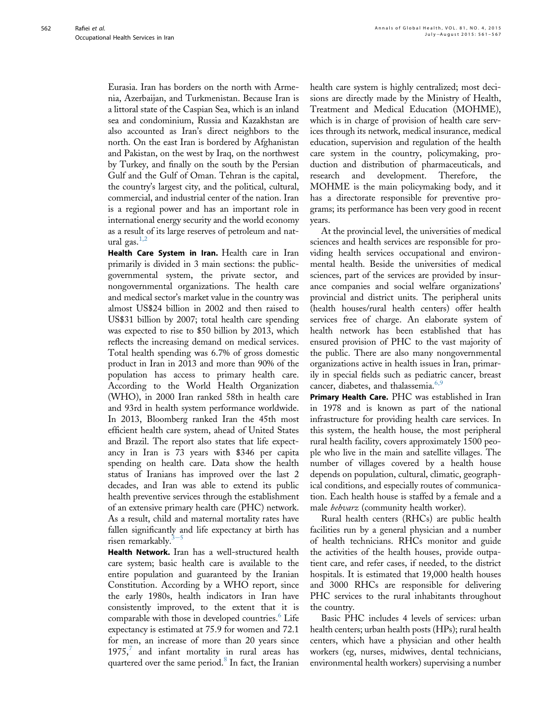Eurasia. Iran has borders on the north with Armenia, Azerbaijan, and Turkmenistan. Because Iran is a littoral state of the Caspian Sea, which is an inland sea and condominium, Russia and Kazakhstan are also accounted as Iran's direct neighbors to the north. On the east Iran is bordered by Afghanistan and Pakistan, on the west by Iraq, on the northwest by Turkey, and finally on the south by the Persian Gulf and the Gulf of Oman. Tehran is the capital, the country's largest city, and the political, cultural, commercial, and industrial center of the nation. Iran is a regional power and has an important role in international energy security and the world economy as a result of its large reserves of petroleum and natural gas. $1,2$ 

Health Care System in Iran. Health care in Iran primarily is divided in 3 main sections: the publicgovernmental system, the private sector, and nongovernmental organizations. The health care and medical sector's market value in the country was almost US\$24 billion in 2002 and then raised to US\$31 billion by 2007; total health care spending was expected to rise to \$50 billion by 2013, which reflects the increasing demand on medical services. Total health spending was 6.7% of gross domestic product in Iran in 2013 and more than 90% of the population has access to primary health care. According to the World Health Organization (WHO), in 2000 Iran ranked 58th in health care and 93rd in health system performance worldwide. In 2013, Bloomberg ranked Iran the 45th most efficient health care system, ahead of United States and Brazil. The report also states that life expectancy in Iran is 73 years with \$346 per capita spending on health care. Data show the health status of Iranians has improved over the last 2 decades, and Iran was able to extend its public health preventive services through the establishment of an extensive primary health care (PHC) network. As a result, child and maternal mortality rates have fallen significantly and life expectancy at birth has risen remarkably.<sup>[3](#page-5-0)</sup>

Health Network. Iran has a well-structured health care system; basic health care is available to the entire population and guaranteed by the Iranian Constitution. According by a WHO report, since the early 1980s, health indicators in Iran have consistently improved, to the extent that it is comparable with those in developed countries.<sup>[6](#page-6-0)</sup> Life expectancy is estimated at 75.9 for women and 72.1 for men, an increase of more than 20 years since  $1975'$  $1975'$  $1975'$ , and infant mortality in rural areas has quartered over the same period.<sup>[8](#page-6-0)</sup> In fact, the Iranian

health care system is highly centralized; most decisions are directly made by the Ministry of Health, Treatment and Medical Education (MOHME), which is in charge of provision of health care services through its network, medical insurance, medical education, supervision and regulation of the health care system in the country, policymaking, production and distribution of pharmaceuticals, and research and development. Therefore, the MOHME is the main policymaking body, and it has a directorate responsible for preventive programs; its performance has been very good in recent years.

At the provincial level, the universities of medical sciences and health services are responsible for providing health services occupational and environmental health. Beside the universities of medical sciences, part of the services are provided by insurance companies and social welfare organizations' provincial and district units. The peripheral units (health houses/rural health centers) offer health services free of charge. An elaborate system of health network has been established that has ensured provision of PHC to the vast majority of the public. There are also many nongovernmental organizations active in health issues in Iran, primarily in special fields such as pediatric cancer, breast cancer, diabetes, and thalassemia.<sup>[6,9](#page-6-0)</sup>

Primary Health Care. PHC was established in Iran in 1978 and is known as part of the national infrastructure for providing health care services. In this system, the health house, the most peripheral rural health facility, covers approximately 1500 people who live in the main and satellite villages. The number of villages covered by a health house depends on population, cultural, climatic, geographical conditions, and especially routes of communication. Each health house is staffed by a female and a male behvarz (community health worker).

Rural health centers (RHCs) are public health facilities run by a general physician and a number of health technicians. RHCs monitor and guide the activities of the health houses, provide outpatient care, and refer cases, if needed, to the district hospitals. It is estimated that 19,000 health houses and 3000 RHCs are responsible for delivering PHC services to the rural inhabitants throughout the country.

Basic PHC includes 4 levels of services: urban health centers; urban health posts (HPs); rural health centers, which have a physician and other health workers (eg, nurses, midwives, dental technicians, environmental health workers) supervising a number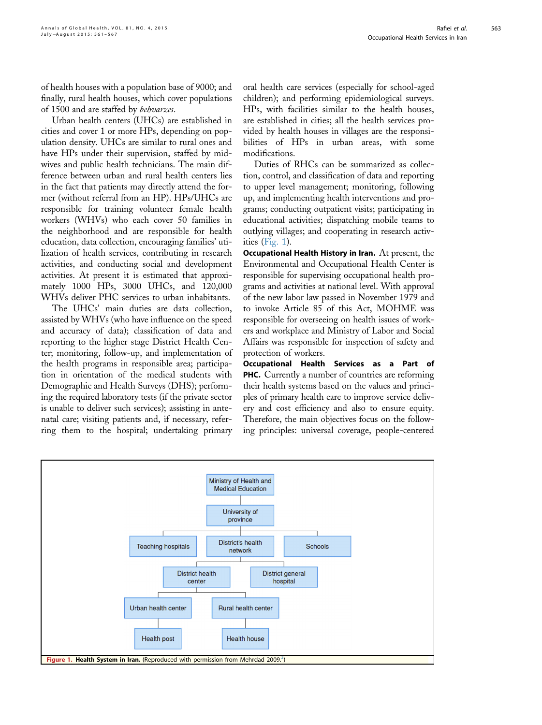of health houses with a population base of 9000; and finally, rural health houses, which cover populations of 1500 and are staffed by behvarzes.

Urban health centers (UHCs) are established in cities and cover 1 or more HPs, depending on population density. UHCs are similar to rural ones and have HPs under their supervision, staffed by midwives and public health technicians. The main difference between urban and rural health centers lies in the fact that patients may directly attend the former (without referral from an HP). HPs/UHCs are responsible for training volunteer female health workers (WHVs) who each cover 50 families in the neighborhood and are responsible for health education, data collection, encouraging families' utilization of health services, contributing in research activities, and conducting social and development activities. At present it is estimated that approximately 1000 HPs, 3000 UHCs, and 120,000 WHVs deliver PHC services to urban inhabitants.

The UHCs' main duties are data collection, assisted by WHVs (who have influence on the speed and accuracy of data); classification of data and reporting to the higher stage District Health Center; monitoring, follow-up, and implementation of the health programs in responsible area; participation in orientation of the medical students with Demographic and Health Surveys (DHS); performing the required laboratory tests (if the private sector is unable to deliver such services); assisting in antenatal care; visiting patients and, if necessary, referring them to the hospital; undertaking primary

oral health care services (especially for school-aged children); and performing epidemiological surveys. HPs, with facilities similar to the health houses, are established in cities; all the health services provided by health houses in villages are the responsibilities of HPs in urban areas, with some modifications.

Duties of RHCs can be summarized as collection, control, and classification of data and reporting to upper level management; monitoring, following up, and implementing health interventions and programs; conducting outpatient visits; participating in educational activities; dispatching mobile teams to outlying villages; and cooperating in research activities (Fig. 1).

Occupational Health History in Iran. At present, the Environmental and Occupational Health Center is responsible for supervising occupational health programs and activities at national level. With approval of the new labor law passed in November 1979 and to invoke Article 85 of this Act, MOHME was responsible for overseeing on health issues of workers and workplace and Ministry of Labor and Social Affairs was responsible for inspection of safety and protection of workers.

Occupational Health Services as a Part of PHC. Currently a number of countries are reforming their health systems based on the values and principles of primary health care to improve service delivery and cost efficiency and also to ensure equity. Therefore, the main objectives focus on the following principles: universal coverage, people-centered

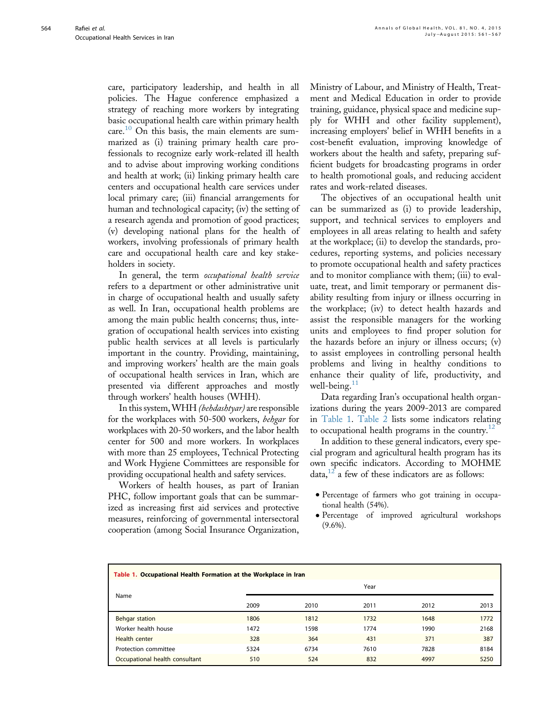care, participatory leadership, and health in all policies. The Hague conference emphasized a strategy of reaching more workers by integrating basic occupational health care within primary health care.<sup>[10](#page-6-0)</sup> On this basis, the main elements are summarized as (i) training primary health care professionals to recognize early work-related ill health and to advise about improving working conditions and health at work; (ii) linking primary health care centers and occupational health care services under local primary care; (iii) financial arrangements for human and technological capacity; (iv) the setting of a research agenda and promotion of good practices; (v) developing national plans for the health of workers, involving professionals of primary health care and occupational health care and key stakeholders in society.

In general, the term occupational health service refers to a department or other administrative unit in charge of occupational health and usually safety as well. In Iran, occupational health problems are among the main public health concerns; thus, integration of occupational health services into existing public health services at all levels is particularly important in the country. Providing, maintaining, and improving workers' health are the main goals of occupational health services in Iran, which are presented via different approaches and mostly through workers' health houses (WHH).

In this system,WHH (behdashtyar) are responsible for the workplaces with 50-500 workers, behgar for workplaces with 20-50 workers, and the labor health center for 500 and more workers. In workplaces with more than 25 employees, Technical Protecting and Work Hygiene Committees are responsible for providing occupational health and safety services.

Workers of health houses, as part of Iranian PHC, follow important goals that can be summarized as increasing first aid services and protective measures, reinforcing of governmental intersectoral cooperation (among Social Insurance Organization,

Ministry of Labour, and Ministry of Health, Treatment and Medical Education in order to provide training, guidance, physical space and medicine supply for WHH and other facility supplement), increasing employers' belief in WHH benefits in a cost-benefit evaluation, improving knowledge of workers about the health and safety, preparing sufficient budgets for broadcasting programs in order to health promotional goals, and reducing accident rates and work-related diseases.

The objectives of an occupational health unit can be summarized as (i) to provide leadership, support, and technical services to employers and employees in all areas relating to health and safety at the workplace; (ii) to develop the standards, procedures, reporting systems, and policies necessary to promote occupational health and safety practices and to monitor compliance with them; (iii) to evaluate, treat, and limit temporary or permanent disability resulting from injury or illness occurring in the workplace; (iv) to detect health hazards and assist the responsible managers for the working units and employees to find proper solution for the hazards before an injury or illness occurs; (v) to assist employees in controlling personal health problems and living in healthy conditions to enhance their quality of life, productivity, and well-being. $11$ 

Data regarding Iran's occupational health organizations during the years 2009-2013 are compared in Table 1. [Table 2](#page-4-0) lists some indicators relating to occupational health programs in the country.<sup>[12](#page-6-0)</sup>

In addition to these general indicators, every special program and agricultural health program has its own specific indicators. According to MOHME  $data<sup>12</sup>$  $data<sup>12</sup>$  $data<sup>12</sup>$  a few of these indicators are as follows:

- <sup>d</sup> Percentage of farmers who got training in occupational health (54%).
- <sup>d</sup> Percentage of improved agricultural workshops  $(9.6\%)$ .

| Table 1. Occupational Health Formation at the Workplace in Iran |      |      |      |      |      |  |
|-----------------------------------------------------------------|------|------|------|------|------|--|
| Name                                                            | Year |      |      |      |      |  |
|                                                                 | 2009 | 2010 | 2011 | 2012 | 2013 |  |
| <b>Behgar station</b>                                           | 1806 | 1812 | 1732 | 1648 | 1772 |  |
| Worker health house                                             | 1472 | 1598 | 1774 | 1990 | 2168 |  |
| <b>Health center</b>                                            | 328  | 364  | 431  | 371  | 387  |  |
| Protection committee                                            | 5324 | 6734 | 7610 | 7828 | 8184 |  |
| Occupational health consultant                                  | 510  | 524  | 832  | 4997 | 5250 |  |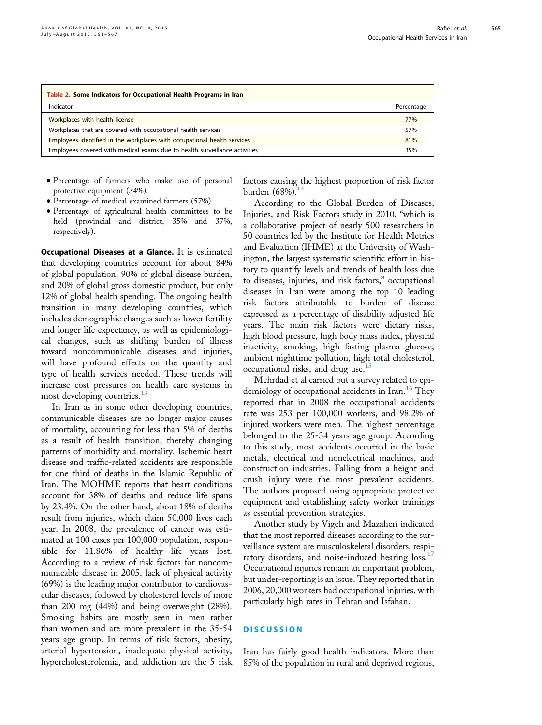<span id="page-4-0"></span>

| Table 2. Some Indicators for Occupational Health Programs in Iran          |            |  |  |  |
|----------------------------------------------------------------------------|------------|--|--|--|
| Indicator                                                                  | Percentage |  |  |  |
| Workplaces with health license                                             | 77%        |  |  |  |
| Workplaces that are covered with occupational health services              | 57%        |  |  |  |
| Employees identified in the workplaces with occupational health services   |            |  |  |  |
| Employees covered with medical exams due to health surveillance activities |            |  |  |  |

- <sup>d</sup> Percentage of farmers who make use of personal protective equipment (34%).
- <sup>d</sup> Percentage of medical examined farmers (57%).
- <sup>d</sup> Percentage of agricultural health committees to be held (provincial and district, 35% and 37%, respectively).

Occupational Diseases at a Glance. It is estimated that developing countries account for about 84% of global population, 90% of global disease burden, and 20% of global gross domestic product, but only 12% of global health spending. The ongoing health transition in many developing countries, which includes demographic changes such as lower fertility and longer life expectancy, as well as epidemiological changes, such as shifting burden of illness toward noncommunicable diseases and injuries, will have profound effects on the quantity and type of health services needed. These trends will increase cost pressures on health care systems in most developing countries.<sup>[13](#page-6-0)</sup>

In Iran as in some other developing countries, communicable diseases are no longer major causes of mortality, accounting for less than 5% of deaths as a result of health transition, thereby changing patterns of morbidity and mortality. Ischemic heart disease and traffic-related accidents are responsible for one third of deaths in the Islamic Republic of Iran. The MOHME reports that heart conditions account for 38% of deaths and reduce life spans by 23.4%. On the other hand, about 18% of deaths result from injuries, which claim 50,000 lives each year. In 2008, the prevalence of cancer was estimated at 100 cases per 100,000 population, responsible for 11.86% of healthy life years lost. According to a review of risk factors for noncommunicable disease in 2005, lack of physical activity (69%) is the leading major contributor to cardiovascular diseases, followed by cholesterol levels of more than 200 mg (44%) and being overweight (28%). Smoking habits are mostly seen in men rather than women and are more prevalent in the 35-54 years age group. In terms of risk factors, obesity, arterial hypertension, inadequate physical activity, hypercholesterolemia, and addiction are the 5 risk

factors causing the highest proportion of risk factor burden  $(68%)$ .<sup>[14](#page-6-0)</sup>

According to the Global Burden of Diseases, Injuries, and Risk Factors study in 2010, "which is a collaborative project of nearly 500 researchers in 50 countries led by the Institute for Health Metrics and Evaluation (IHME) at the University of Washington, the largest systematic scientific effort in history to quantify levels and trends of health loss due to diseases, injuries, and risk factors," occupational diseases in Iran were among the top 10 leading risk factors attributable to burden of disease expressed as a percentage of disability adjusted life years. The main risk factors were dietary risks, high blood pressure, high body mass index, physical inactivity, smoking, high fasting plasma glucose, ambient nighttime pollution, high total cholesterol, occupational risks, and drug use.<sup>[15](#page-6-0)</sup>

Mehrdad et al carried out a survey related to epi-demiology of occupational accidents in Iran.<sup>[16](#page-6-0)</sup> They reported that in 2008 the occupational accidents rate was 253 per 100,000 workers, and 98.2% of injured workers were men. The highest percentage belonged to the 25-34 years age group. According to this study, most accidents occurred in the basic metals, electrical and nonelectrical machines, and construction industries. Falling from a height and crush injury were the most prevalent accidents. The authors proposed using appropriate protective equipment and establishing safety worker trainings as essential prevention strategies.

Another study by Vigeh and Mazaheri indicated that the most reported diseases according to the surveillance system are musculoskeletal disorders, respi-ratory disorders, and noise-induced hearing loss.<sup>[17](#page-6-0)</sup> Occupational injuries remain an important problem, but under-reporting is an issue. They reported that in 2006, 20,000 workers had occupational injuries, with particularly high rates in Tehran and Isfahan.

#### **DISCUSSION**

Iran has fairly good health indicators. More than 85% of the population in rural and deprived regions,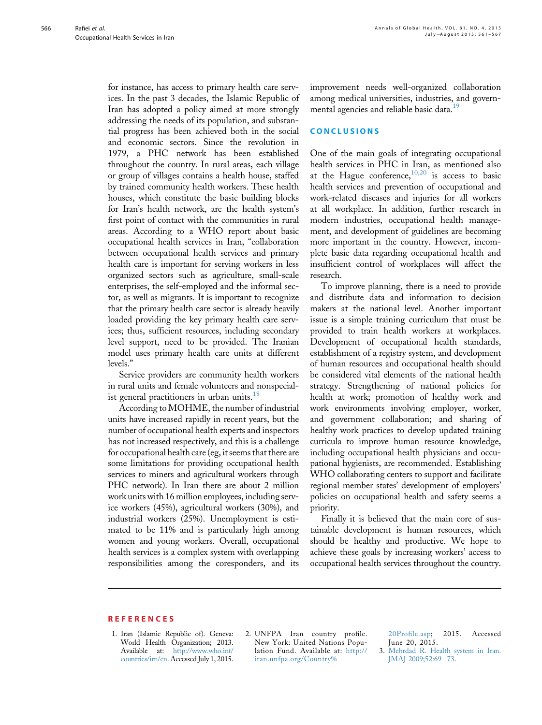<span id="page-5-0"></span>for instance, has access to primary health care services. In the past 3 decades, the Islamic Republic of Iran has adopted a policy aimed at more strongly addressing the needs of its population, and substantial progress has been achieved both in the social and economic sectors. Since the revolution in 1979, a PHC network has been established throughout the country. In rural areas, each village or group of villages contains a health house, staffed by trained community health workers. These health houses, which constitute the basic building blocks for Iran's health network, are the health system's first point of contact with the communities in rural areas. According to a WHO report about basic occupational health services in Iran, "collaboration between occupational health services and primary health care is important for serving workers in less organized sectors such as agriculture, small-scale enterprises, the self-employed and the informal sector, as well as migrants. It is important to recognize that the primary health care sector is already heavily loaded providing the key primary health care services; thus, sufficient resources, including secondary level support, need to be provided. The Iranian model uses primary health care units at different levels."

Service providers are community health workers in rural units and female volunteers and nonspecial-ist general practitioners in urban units.<sup>[18](#page-6-0)</sup>

According to MOHME, the number of industrial units have increased rapidly in recent years, but the number of occupational health experts and inspectors has not increased respectively, and this is a challenge for occupational health care (eg, it seems that there are some limitations for providing occupational health services to miners and agricultural workers through PHC network). In Iran there are about 2 million work units with 16 million employees, including service workers (45%), agricultural workers (30%), and industrial workers (25%). Unemployment is estimated to be 11% and is particularly high among women and young workers. Overall, occupational health services is a complex system with overlapping responsibilities among the coresponders, and its

improvement needs well-organized collaboration among medical universities, industries, and govern-mental agencies and reliable basic data.<sup>[19](#page-6-0)</sup>

# CONCLUSIONS

One of the main goals of integrating occupational health services in PHC in Iran, as mentioned also at the Hague conference,  $10,20$  is access to basic health services and prevention of occupational and work-related diseases and injuries for all workers at all workplace. In addition, further research in modern industries, occupational health management, and development of guidelines are becoming more important in the country. However, incomplete basic data regarding occupational health and insufficient control of workplaces will affect the research.

To improve planning, there is a need to provide and distribute data and information to decision makers at the national level. Another important issue is a simple training curriculum that must be provided to train health workers at workplaces. Development of occupational health standards, establishment of a registry system, and development of human resources and occupational health should be considered vital elements of the national health strategy. Strengthening of national policies for health at work; promotion of healthy work and work environments involving employer, worker, and government collaboration; and sharing of healthy work practices to develop updated training curricula to improve human resource knowledge, including occupational health physicians and occupational hygienists, are recommended. Establishing WHO collaborating centers to support and facilitate regional member states' development of employers' policies on occupational health and safety seems a priority.

Finally it is believed that the main core of sustainable development is human resources, which should be healthy and productive. We hope to achieve these goals by increasing workers' access to occupational health services throughout the country.

## REFERENCES

- 1. Iran (Islamic Republic of). Geneva: World Health Organization; 2013. Available at: [http://www.who.int/](http://www.who.int/countries/irn/en) [countries/irn/en.](http://www.who.int/countries/irn/en) Accessed July 1, 2015.
- 2. UNFPA Iran country profile. New York: United Nations Population Fund. Available at: [http://](http://iran.unfpa.org/Country%20Profile.asp) [iran.unfpa.org/Country%](http://iran.unfpa.org/Country%20Profile.asp)

[20Pro](http://iran.unfpa.org/Country%20Profile.asp)file.asp; 2015. Accessed June 20, 2015.

<sup>3.</sup> [Mehrdad R. Health system in Iran.](http://refhub.elsevier.com/S2214-9996(15)01236-9/sref3) [JMAJ 2009;52:69](http://refhub.elsevier.com/S2214-9996(15)01236-9/sref3)-[73.](http://refhub.elsevier.com/S2214-9996(15)01236-9/sref3)